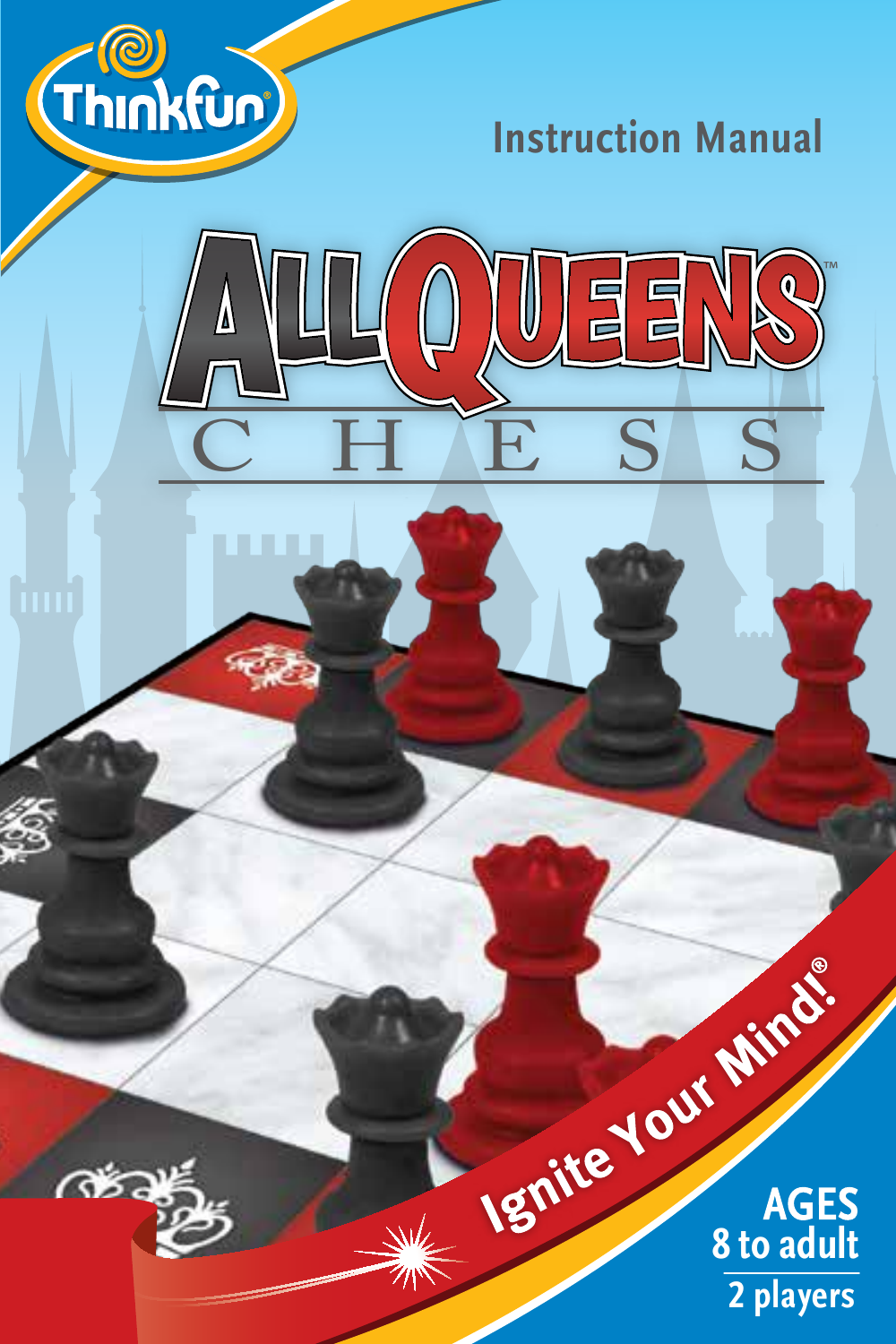

 $\sim$ 

**Instruction Manual** 



Ignite Your Minds. AGES<br>8 to adult 2 players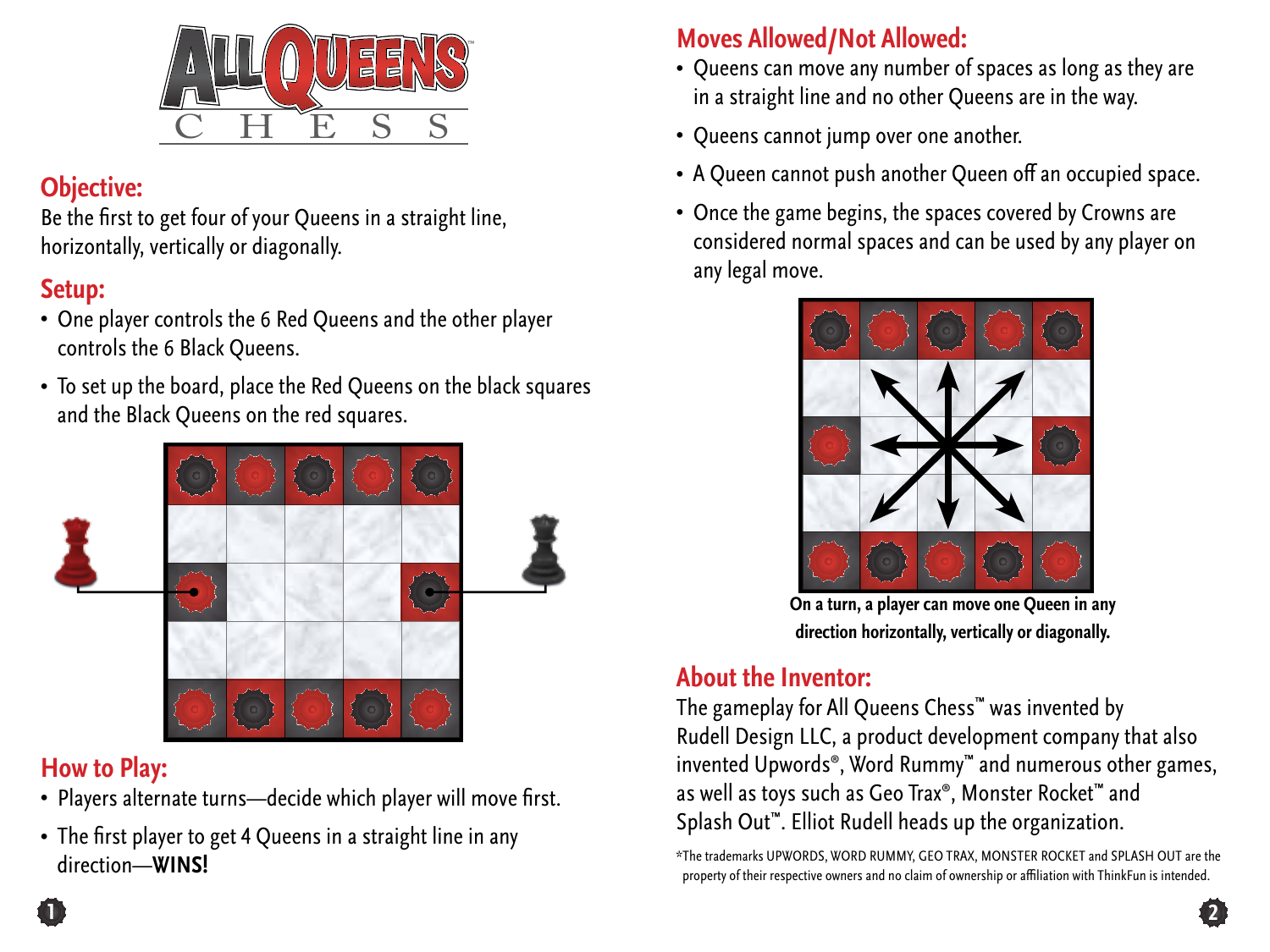

## **Objective:**

Be the first to get four of your Queens in a straight line, horizontally, vertically or diagonally.

## **Setup:**

- One player controls the 6 Red Queens and the other player controls the 6 Black Queens.
- To set up the board, place the Red Queens on the black squares and the Black Queens on the red squares.



#### **How to Play:**

- Players alternate turns—decide which player will move first.
- The first player to get 4 Queens in a straight line in any direction—**WINS!**

# **Moves Allowed/Not Allowed:**

- Queens can move any number of spaces as long as they are in a straight line and no other Queens are in the way.
- Queens cannot jump over one another.
- A Queen cannot push another Queen off an occupied space.
- Once the game begins, the spaces covered by Crowns are considered normal spaces and can be used by any player on any legal move.



**On a turn, a player can move one Queen in any direction horizontally, vertically or diagonally.** 

# **About the Inventor:**

The gameplay for All Queens Chess™ was invented by Rudell Design LLC, a product development company that also invented Upwords®, Word Rummy™ and numerous other games, as well as toys such as Geo Trax®, Monster Rocket™ and Splash Out™. Elliot Rudell heads up the organization.

\*The trademarks UPWORDS, WORD RUMMY, GEO TRAX, MONSTER ROCKET and SPLASH OUT are the property of their respective owners and no claim of ownership or affiliation with ThinkFun is intended.